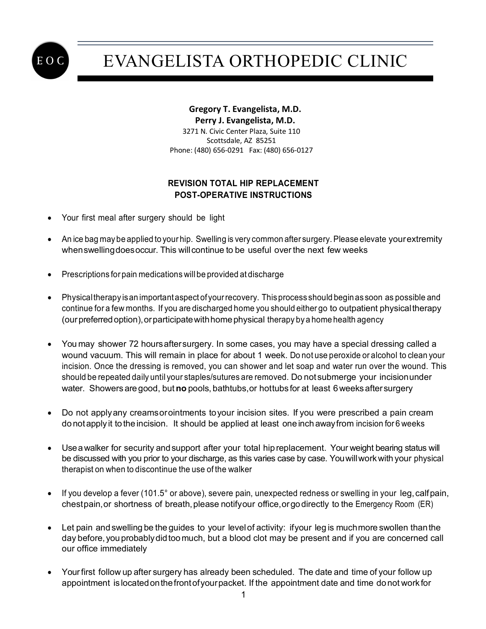

## EVANGELISTA ORTHOPEDIC CLINIC

## **Gregory T. Evangelista, M.D. Perry J. Evangelista, M.D.** 3271 N. Civic Center Plaza, Suite 110 Scottsdale, AZ 85251 Phone: (480) 656-0291 Fax: (480) 656-0127

## **REVISION TOTAL HIP REPLACEMENT POST-OPERATIVE INSTRUCTIONS**

- Your first meal after surgery should be light
- An ice bag may be applied to your hip. Swelling is very common after surgery. Please elevate yourextremity whenswellingdoesoccur. This willcontinue to be useful over the next few weeks
- Prescriptions for pain medications will be provided at discharge
- Physicaltherapy isan importantaspect of yourrecovery. Thisprocess should beginas soon as possible and continue for a few months. If you are discharged home you should either go to outpatient physicaltherapy (our preferred option), or participate with home physical therapy by a home health agency
- You may shower 72 hoursaftersurgery. In some cases, you may have a special dressing called a wound vacuum. This will remain in place for about 1 week. Do not use peroxide or alcohol to clean your incision. Once the dressing is removed, you can shower and let soap and water run over the wound. This should be repeated daily until your staples/sutures are removed. Do not submerge your incisionunder water. Showers are good, but **no** pools, bathtubs,or hottubs for at least 6weeksaftersurgery
- Do not applyany creamsorointments toyour incision sites. If you were prescribed a pain cream do notapply it to the incision. It should be applied at least one inch awayfrom incision for 6 weeks
- Use a walker for security and support after your total hip replacement. Your weight bearing status will be discussed with you prior to your discharge, as this varies case by case. Youwillworkwith your physical therapist on when to discontinue the use of the walker
- If you develop a fever (101.5° or above), severe pain, unexpected redness or swelling in your leg,calfpain, chestpain,or shortness of breath,please notifyour office,orgodirectly to the Emergency Room (ER)
- Let pain and swelling be the guides to your levelof activity: ifyour leg is muchmore swollen thanthe day before, you probablydidtoo much, but a blood clot may be present and if you are concerned call our office immediately
- Yourfirst follow up after surgery has already been scheduled. The date and time of your follow up appointment is locatedonthefrontofyourpacket. If the appointment date and time donot work for